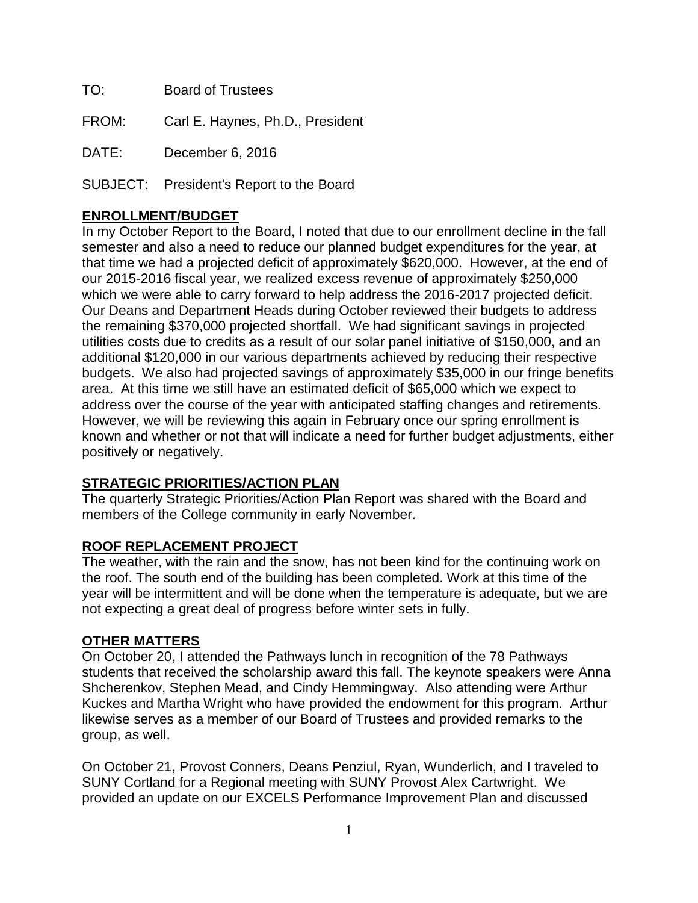TO: Board of Trustees

FROM: Carl E. Haynes, Ph.D., President

DATE: December 6, 2016

SUBJECT: President's Report to the Board

## **ENROLLMENT/BUDGET**

In my October Report to the Board, I noted that due to our enrollment decline in the fall semester and also a need to reduce our planned budget expenditures for the year, at that time we had a projected deficit of approximately \$620,000. However, at the end of our 2015-2016 fiscal year, we realized excess revenue of approximately \$250,000 which we were able to carry forward to help address the 2016-2017 projected deficit. Our Deans and Department Heads during October reviewed their budgets to address the remaining \$370,000 projected shortfall. We had significant savings in projected utilities costs due to credits as a result of our solar panel initiative of \$150,000, and an additional \$120,000 in our various departments achieved by reducing their respective budgets. We also had projected savings of approximately \$35,000 in our fringe benefits area. At this time we still have an estimated deficit of \$65,000 which we expect to address over the course of the year with anticipated staffing changes and retirements. However, we will be reviewing this again in February once our spring enrollment is known and whether or not that will indicate a need for further budget adjustments, either positively or negatively.

## **STRATEGIC PRIORITIES/ACTION PLAN**

The quarterly Strategic Priorities/Action Plan Report was shared with the Board and members of the College community in early November.

## **ROOF REPLACEMENT PROJECT**

The weather, with the rain and the snow, has not been kind for the continuing work on the roof. The south end of the building has been completed. Work at this time of the year will be intermittent and will be done when the temperature is adequate, but we are not expecting a great deal of progress before winter sets in fully.

## **OTHER MATTERS**

On October 20, I attended the Pathways lunch in recognition of the 78 Pathways students that received the scholarship award this fall. The keynote speakers were Anna Shcherenkov, Stephen Mead, and Cindy Hemmingway. Also attending were Arthur Kuckes and Martha Wright who have provided the endowment for this program. Arthur likewise serves as a member of our Board of Trustees and provided remarks to the group, as well.

On October 21, Provost Conners, Deans Penziul, Ryan, Wunderlich, and I traveled to SUNY Cortland for a Regional meeting with SUNY Provost Alex Cartwright. We provided an update on our EXCELS Performance Improvement Plan and discussed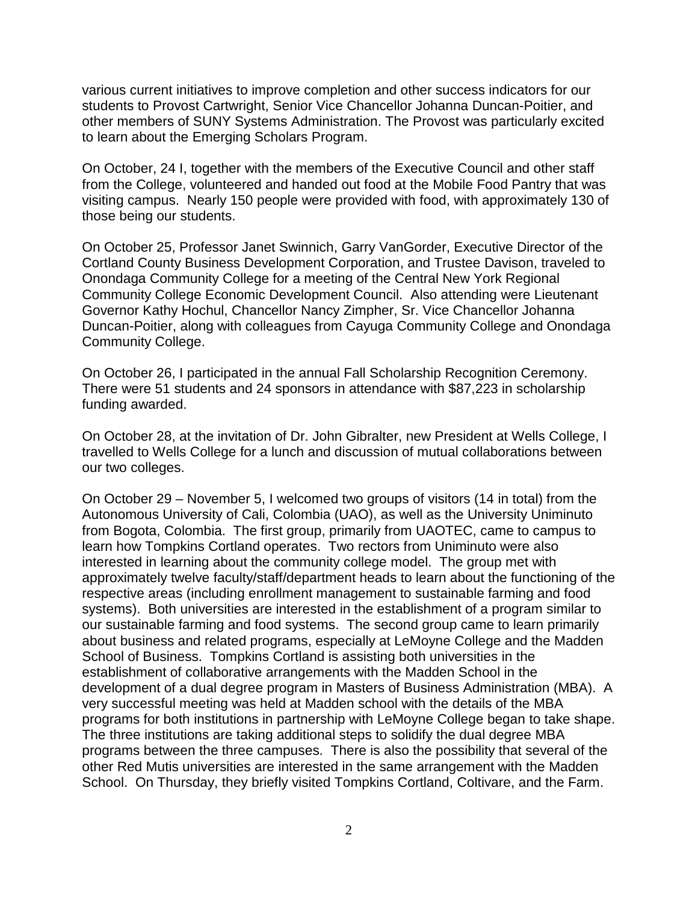various current initiatives to improve completion and other success indicators for our students to Provost Cartwright, Senior Vice Chancellor Johanna Duncan-Poitier, and other members of SUNY Systems Administration. The Provost was particularly excited to learn about the Emerging Scholars Program.

On October, 24 I, together with the members of the Executive Council and other staff from the College, volunteered and handed out food at the Mobile Food Pantry that was visiting campus. Nearly 150 people were provided with food, with approximately 130 of those being our students.

On October 25, Professor Janet Swinnich, Garry VanGorder, Executive Director of the Cortland County Business Development Corporation, and Trustee Davison, traveled to Onondaga Community College for a meeting of the Central New York Regional Community College Economic Development Council. Also attending were Lieutenant Governor Kathy Hochul, Chancellor Nancy Zimpher, Sr. Vice Chancellor Johanna Duncan-Poitier, along with colleagues from Cayuga Community College and Onondaga Community College.

On October 26, I participated in the annual Fall Scholarship Recognition Ceremony. There were 51 students and 24 sponsors in attendance with \$87,223 in scholarship funding awarded.

On October 28, at the invitation of Dr. John Gibralter, new President at Wells College, I travelled to Wells College for a lunch and discussion of mutual collaborations between our two colleges.

On October 29 – November 5, I welcomed two groups of visitors (14 in total) from the Autonomous University of Cali, Colombia (UAO), as well as the University Uniminuto from Bogota, Colombia. The first group, primarily from UAOTEC, came to campus to learn how Tompkins Cortland operates. Two rectors from Uniminuto were also interested in learning about the community college model. The group met with approximately twelve faculty/staff/department heads to learn about the functioning of the respective areas (including enrollment management to sustainable farming and food systems). Both universities are interested in the establishment of a program similar to our sustainable farming and food systems. The second group came to learn primarily about business and related programs, especially at LeMoyne College and the Madden School of Business. Tompkins Cortland is assisting both universities in the establishment of collaborative arrangements with the Madden School in the development of a dual degree program in Masters of Business Administration (MBA). A very successful meeting was held at Madden school with the details of the MBA programs for both institutions in partnership with LeMoyne College began to take shape. The three institutions are taking additional steps to solidify the dual degree MBA programs between the three campuses. There is also the possibility that several of the other Red Mutis universities are interested in the same arrangement with the Madden School. On Thursday, they briefly visited Tompkins Cortland, Coltivare, and the Farm.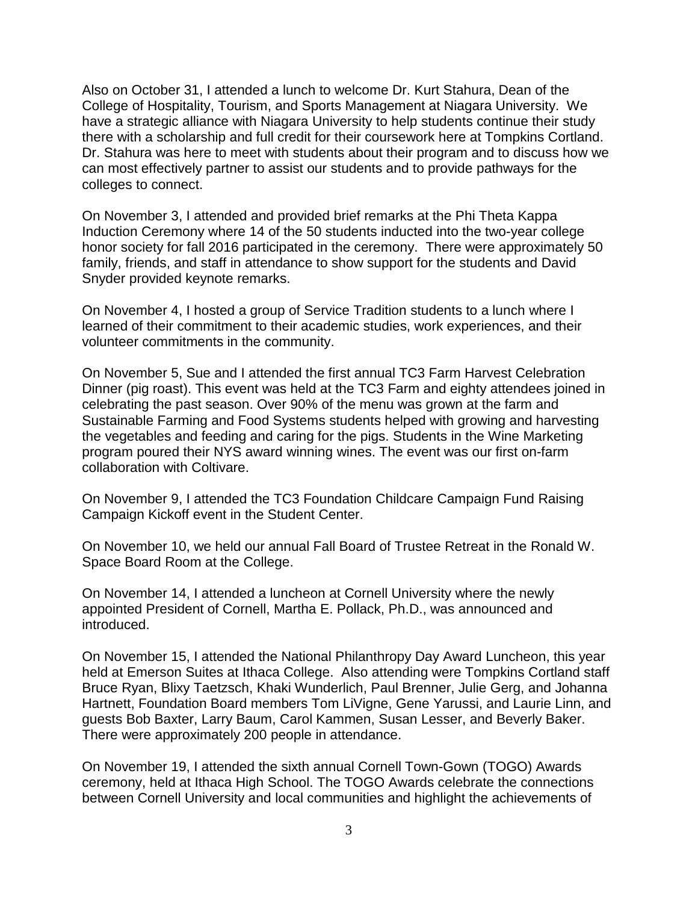Also on October 31, I attended a lunch to welcome Dr. Kurt Stahura, Dean of the College of Hospitality, Tourism, and Sports Management at Niagara University. We have a strategic alliance with Niagara University to help students continue their study there with a scholarship and full credit for their coursework here at Tompkins Cortland. Dr. Stahura was here to meet with students about their program and to discuss how we can most effectively partner to assist our students and to provide pathways for the colleges to connect.

On November 3, I attended and provided brief remarks at the Phi Theta Kappa Induction Ceremony where 14 of the 50 students inducted into the two-year college honor society for fall 2016 participated in the ceremony. There were approximately 50 family, friends, and staff in attendance to show support for the students and David Snyder provided keynote remarks.

On November 4, I hosted a group of Service Tradition students to a lunch where I learned of their commitment to their academic studies, work experiences, and their volunteer commitments in the community.

On November 5, Sue and I attended the first annual TC3 Farm Harvest Celebration Dinner (pig roast). This event was held at the TC3 Farm and eighty attendees joined in celebrating the past season. Over 90% of the menu was grown at the farm and Sustainable Farming and Food Systems students helped with growing and harvesting the vegetables and feeding and caring for the pigs. Students in the Wine Marketing program poured their NYS award winning wines. The event was our first on-farm collaboration with Coltivare.

On November 9, I attended the TC3 Foundation Childcare Campaign Fund Raising Campaign Kickoff event in the Student Center.

On November 10, we held our annual Fall Board of Trustee Retreat in the Ronald W. Space Board Room at the College.

On November 14, I attended a luncheon at Cornell University where the newly appointed President of Cornell, Martha E. Pollack, Ph.D., was announced and introduced.

On November 15, I attended the National Philanthropy Day Award Luncheon, this year held at Emerson Suites at Ithaca College. Also attending were Tompkins Cortland staff Bruce Ryan, Blixy Taetzsch, Khaki Wunderlich, Paul Brenner, Julie Gerg, and Johanna Hartnett, Foundation Board members Tom LiVigne, Gene Yarussi, and Laurie Linn, and guests Bob Baxter, Larry Baum, Carol Kammen, Susan Lesser, and Beverly Baker. There were approximately 200 people in attendance.

On November 19, I attended the sixth annual Cornell Town-Gown (TOGO) Awards ceremony, held at Ithaca High School. The TOGO Awards celebrate the connections between Cornell University and local communities and highlight the achievements of